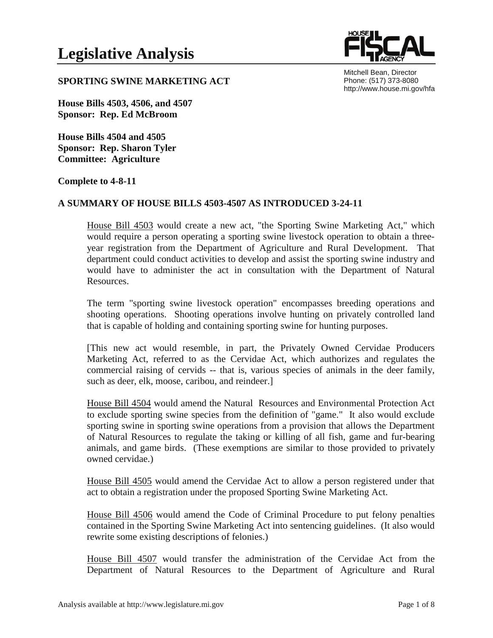

Mitchell Bean, Director Phone: (517) 373-8080 http://www.house.mi.gov/hfa

### **SPORTING SWINE MARKETING ACT**

**House Bills 4503, 4506, and 4507 Sponsor: Rep. Ed McBroom** 

**House Bills 4504 and 4505 Sponsor: Rep. Sharon Tyler Committee: Agriculture** 

**Complete to 4-8-11** 

# **A SUMMARY OF HOUSE BILLS 4503-4507 AS INTRODUCED 3-24-11**

House Bill 4503 would create a new act, "the Sporting Swine Marketing Act," which would require a person operating a sporting swine livestock operation to obtain a threeyear registration from the Department of Agriculture and Rural Development. That department could conduct activities to develop and assist the sporting swine industry and would have to administer the act in consultation with the Department of Natural Resources.

The term "sporting swine livestock operation" encompasses breeding operations and shooting operations. Shooting operations involve hunting on privately controlled land that is capable of holding and containing sporting swine for hunting purposes.

[This new act would resemble, in part, the Privately Owned Cervidae Producers Marketing Act, referred to as the Cervidae Act, which authorizes and regulates the commercial raising of cervids -- that is, various species of animals in the deer family, such as deer, elk, moose, caribou, and reindeer.]

House Bill 4504 would amend the Natural Resources and Environmental Protection Act to exclude sporting swine species from the definition of "game." It also would exclude sporting swine in sporting swine operations from a provision that allows the Department of Natural Resources to regulate the taking or killing of all fish, game and fur-bearing animals, and game birds. (These exemptions are similar to those provided to privately owned cervidae.)

House Bill 4505 would amend the Cervidae Act to allow a person registered under that act to obtain a registration under the proposed Sporting Swine Marketing Act.

House Bill 4506 would amend the Code of Criminal Procedure to put felony penalties contained in the Sporting Swine Marketing Act into sentencing guidelines. (It also would rewrite some existing descriptions of felonies.)

House Bill 4507 would transfer the administration of the Cervidae Act from the Department of Natural Resources to the Department of Agriculture and Rural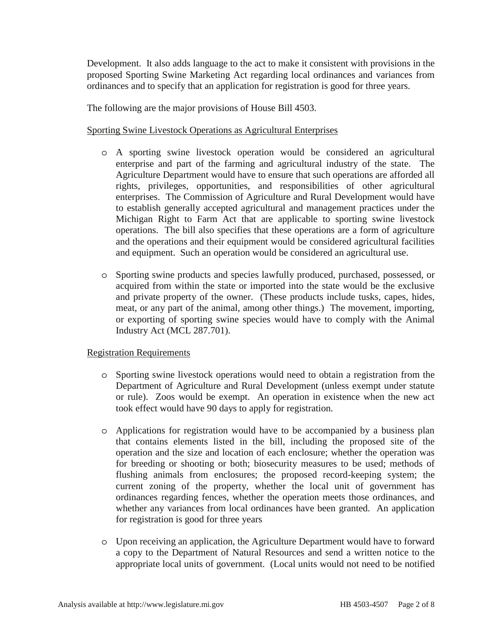Development. It also adds language to the act to make it consistent with provisions in the proposed Sporting Swine Marketing Act regarding local ordinances and variances from ordinances and to specify that an application for registration is good for three years.

The following are the major provisions of House Bill 4503.

# Sporting Swine Livestock Operations as Agricultural Enterprises

- o A sporting swine livestock operation would be considered an agricultural enterprise and part of the farming and agricultural industry of the state. The Agriculture Department would have to ensure that such operations are afforded all rights, privileges, opportunities, and responsibilities of other agricultural enterprises. The Commission of Agriculture and Rural Development would have to establish generally accepted agricultural and management practices under the Michigan Right to Farm Act that are applicable to sporting swine livestock operations. The bill also specifies that these operations are a form of agriculture and the operations and their equipment would be considered agricultural facilities and equipment. Such an operation would be considered an agricultural use.
- o Sporting swine products and species lawfully produced, purchased, possessed, or acquired from within the state or imported into the state would be the exclusive and private property of the owner. (These products include tusks, capes, hides, meat, or any part of the animal, among other things.) The movement, importing, or exporting of sporting swine species would have to comply with the Animal Industry Act (MCL 287.701).

# Registration Requirements

- o Sporting swine livestock operations would need to obtain a registration from the Department of Agriculture and Rural Development (unless exempt under statute or rule). Zoos would be exempt. An operation in existence when the new act took effect would have 90 days to apply for registration.
- o Applications for registration would have to be accompanied by a business plan that contains elements listed in the bill, including the proposed site of the operation and the size and location of each enclosure; whether the operation was for breeding or shooting or both; biosecurity measures to be used; methods of flushing animals from enclosures; the proposed record-keeping system; the current zoning of the property, whether the local unit of government has ordinances regarding fences, whether the operation meets those ordinances, and whether any variances from local ordinances have been granted. An application for registration is good for three years
- o Upon receiving an application, the Agriculture Department would have to forward a copy to the Department of Natural Resources and send a written notice to the appropriate local units of government. (Local units would not need to be notified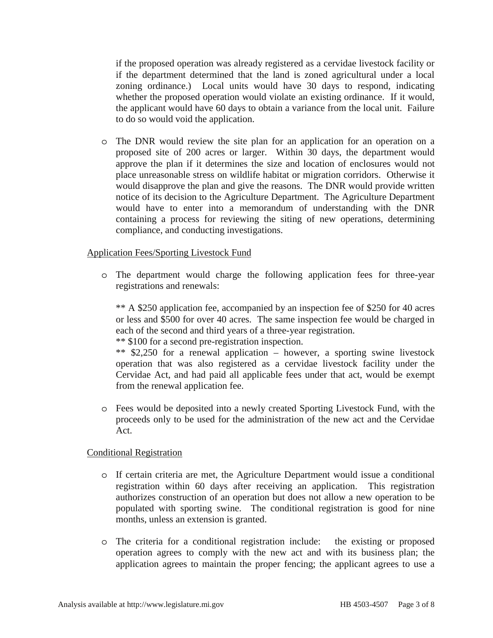if the proposed operation was already registered as a cervidae livestock facility or if the department determined that the land is zoned agricultural under a local zoning ordinance.) Local units would have 30 days to respond, indicating whether the proposed operation would violate an existing ordinance. If it would, the applicant would have 60 days to obtain a variance from the local unit. Failure to do so would void the application.

o The DNR would review the site plan for an application for an operation on a proposed site of 200 acres or larger. Within 30 days, the department would approve the plan if it determines the size and location of enclosures would not place unreasonable stress on wildlife habitat or migration corridors. Otherwise it would disapprove the plan and give the reasons. The DNR would provide written notice of its decision to the Agriculture Department. The Agriculture Department would have to enter into a memorandum of understanding with the DNR containing a process for reviewing the siting of new operations, determining compliance, and conducting investigations.

### Application Fees/Sporting Livestock Fund

o The department would charge the following application fees for three-year registrations and renewals:

\*\* A \$250 application fee, accompanied by an inspection fee of \$250 for 40 acres or less and \$500 for over 40 acres. The same inspection fee would be charged in each of the second and third years of a three-year registration.

\*\* \$100 for a second pre-registration inspection.

\*\* \$2,250 for a renewal application – however, a sporting swine livestock operation that was also registered as a cervidae livestock facility under the Cervidae Act, and had paid all applicable fees under that act, would be exempt from the renewal application fee.

o Fees would be deposited into a newly created Sporting Livestock Fund, with the proceeds only to be used for the administration of the new act and the Cervidae Act.

### Conditional Registration

- o If certain criteria are met, the Agriculture Department would issue a conditional registration within 60 days after receiving an application. This registration authorizes construction of an operation but does not allow a new operation to be populated with sporting swine. The conditional registration is good for nine months, unless an extension is granted.
- o The criteria for a conditional registration include: the existing or proposed operation agrees to comply with the new act and with its business plan; the application agrees to maintain the proper fencing; the applicant agrees to use a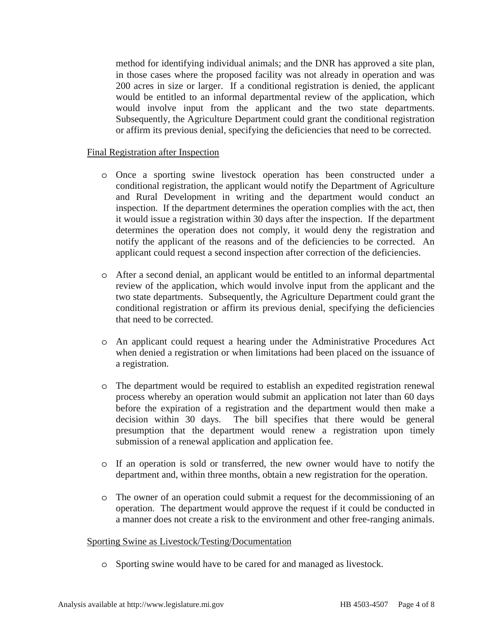method for identifying individual animals; and the DNR has approved a site plan, in those cases where the proposed facility was not already in operation and was 200 acres in size or larger. If a conditional registration is denied, the applicant would be entitled to an informal departmental review of the application, which would involve input from the applicant and the two state departments. Subsequently, the Agriculture Department could grant the conditional registration or affirm its previous denial, specifying the deficiencies that need to be corrected.

#### Final Registration after Inspection

- o Once a sporting swine livestock operation has been constructed under a conditional registration, the applicant would notify the Department of Agriculture and Rural Development in writing and the department would conduct an inspection. If the department determines the operation complies with the act, then it would issue a registration within 30 days after the inspection. If the department determines the operation does not comply, it would deny the registration and notify the applicant of the reasons and of the deficiencies to be corrected. An applicant could request a second inspection after correction of the deficiencies.
- o After a second denial, an applicant would be entitled to an informal departmental review of the application, which would involve input from the applicant and the two state departments. Subsequently, the Agriculture Department could grant the conditional registration or affirm its previous denial, specifying the deficiencies that need to be corrected.
- o An applicant could request a hearing under the Administrative Procedures Act when denied a registration or when limitations had been placed on the issuance of a registration.
- o The department would be required to establish an expedited registration renewal process whereby an operation would submit an application not later than 60 days before the expiration of a registration and the department would then make a decision within 30 days. The bill specifies that there would be general presumption that the department would renew a registration upon timely submission of a renewal application and application fee.
- o If an operation is sold or transferred, the new owner would have to notify the department and, within three months, obtain a new registration for the operation.
- o The owner of an operation could submit a request for the decommissioning of an operation. The department would approve the request if it could be conducted in a manner does not create a risk to the environment and other free-ranging animals.

#### Sporting Swine as Livestock/Testing/Documentation

o Sporting swine would have to be cared for and managed as livestock.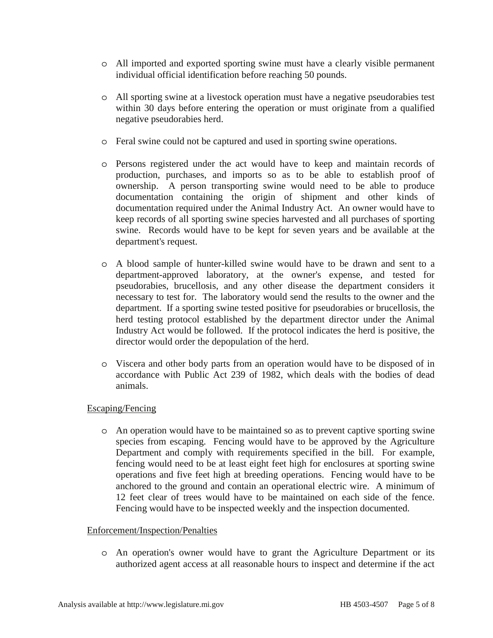- o All imported and exported sporting swine must have a clearly visible permanent individual official identification before reaching 50 pounds.
- o All sporting swine at a livestock operation must have a negative pseudorabies test within 30 days before entering the operation or must originate from a qualified negative pseudorabies herd.
- o Feral swine could not be captured and used in sporting swine operations.
- o Persons registered under the act would have to keep and maintain records of production, purchases, and imports so as to be able to establish proof of ownership. A person transporting swine would need to be able to produce documentation containing the origin of shipment and other kinds of documentation required under the Animal Industry Act. An owner would have to keep records of all sporting swine species harvested and all purchases of sporting swine. Records would have to be kept for seven years and be available at the department's request.
- o A blood sample of hunter-killed swine would have to be drawn and sent to a department-approved laboratory, at the owner's expense, and tested for pseudorabies, brucellosis, and any other disease the department considers it necessary to test for. The laboratory would send the results to the owner and the department. If a sporting swine tested positive for pseudorabies or brucellosis, the herd testing protocol established by the department director under the Animal Industry Act would be followed. If the protocol indicates the herd is positive, the director would order the depopulation of the herd.
- o Viscera and other body parts from an operation would have to be disposed of in accordance with Public Act 239 of 1982, which deals with the bodies of dead animals.

### Escaping/Fencing

o An operation would have to be maintained so as to prevent captive sporting swine species from escaping. Fencing would have to be approved by the Agriculture Department and comply with requirements specified in the bill. For example, fencing would need to be at least eight feet high for enclosures at sporting swine operations and five feet high at breeding operations. Fencing would have to be anchored to the ground and contain an operational electric wire. A minimum of 12 feet clear of trees would have to be maintained on each side of the fence. Fencing would have to be inspected weekly and the inspection documented.

### Enforcement/Inspection/Penalties

o An operation's owner would have to grant the Agriculture Department or its authorized agent access at all reasonable hours to inspect and determine if the act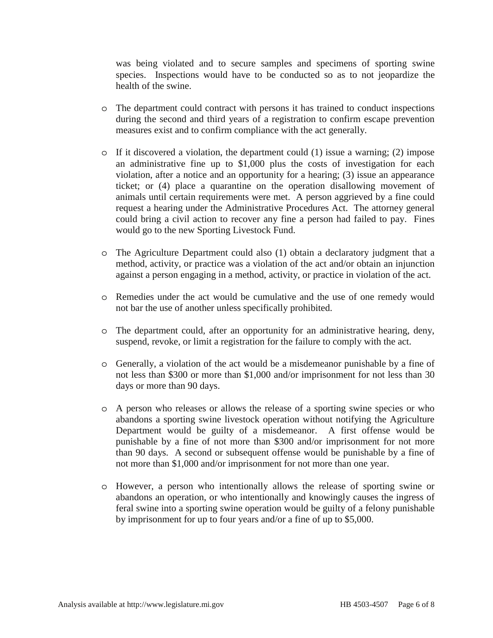was being violated and to secure samples and specimens of sporting swine species. Inspections would have to be conducted so as to not jeopardize the health of the swine.

- o The department could contract with persons it has trained to conduct inspections during the second and third years of a registration to confirm escape prevention measures exist and to confirm compliance with the act generally.
- $\circ$  If it discovered a violation, the department could (1) issue a warning; (2) impose an administrative fine up to \$1,000 plus the costs of investigation for each violation, after a notice and an opportunity for a hearing; (3) issue an appearance ticket; or (4) place a quarantine on the operation disallowing movement of animals until certain requirements were met. A person aggrieved by a fine could request a hearing under the Administrative Procedures Act. The attorney general could bring a civil action to recover any fine a person had failed to pay. Fines would go to the new Sporting Livestock Fund.
- o The Agriculture Department could also (1) obtain a declaratory judgment that a method, activity, or practice was a violation of the act and/or obtain an injunction against a person engaging in a method, activity, or practice in violation of the act.
- o Remedies under the act would be cumulative and the use of one remedy would not bar the use of another unless specifically prohibited.
- o The department could, after an opportunity for an administrative hearing, deny, suspend, revoke, or limit a registration for the failure to comply with the act.
- o Generally, a violation of the act would be a misdemeanor punishable by a fine of not less than \$300 or more than \$1,000 and/or imprisonment for not less than 30 days or more than 90 days.
- o A person who releases or allows the release of a sporting swine species or who abandons a sporting swine livestock operation without notifying the Agriculture Department would be guilty of a misdemeanor. A first offense would be punishable by a fine of not more than \$300 and/or imprisonment for not more than 90 days. A second or subsequent offense would be punishable by a fine of not more than \$1,000 and/or imprisonment for not more than one year.
- o However, a person who intentionally allows the release of sporting swine or abandons an operation, or who intentionally and knowingly causes the ingress of feral swine into a sporting swine operation would be guilty of a felony punishable by imprisonment for up to four years and/or a fine of up to \$5,000.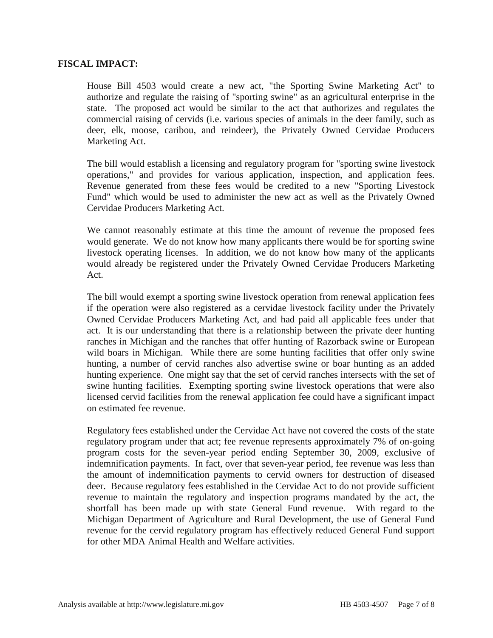#### **FISCAL IMPACT:**

House Bill 4503 would create a new act, "the Sporting Swine Marketing Act" to authorize and regulate the raising of "sporting swine" as an agricultural enterprise in the state. The proposed act would be similar to the act that authorizes and regulates the commercial raising of cervids (i.e. various species of animals in the deer family, such as deer, elk, moose, caribou, and reindeer), the Privately Owned Cervidae Producers Marketing Act.

The bill would establish a licensing and regulatory program for "sporting swine livestock operations," and provides for various application, inspection, and application fees. Revenue generated from these fees would be credited to a new "Sporting Livestock Fund" which would be used to administer the new act as well as the Privately Owned Cervidae Producers Marketing Act.

We cannot reasonably estimate at this time the amount of revenue the proposed fees would generate. We do not know how many applicants there would be for sporting swine livestock operating licenses. In addition, we do not know how many of the applicants would already be registered under the Privately Owned Cervidae Producers Marketing Act.

The bill would exempt a sporting swine livestock operation from renewal application fees if the operation were also registered as a cervidae livestock facility under the Privately Owned Cervidae Producers Marketing Act, and had paid all applicable fees under that act. It is our understanding that there is a relationship between the private deer hunting ranches in Michigan and the ranches that offer hunting of Razorback swine or European wild boars in Michigan. While there are some hunting facilities that offer only swine hunting, a number of cervid ranches also advertise swine or boar hunting as an added hunting experience. One might say that the set of cervid ranches intersects with the set of swine hunting facilities. Exempting sporting swine livestock operations that were also licensed cervid facilities from the renewal application fee could have a significant impact on estimated fee revenue.

Regulatory fees established under the Cervidae Act have not covered the costs of the state regulatory program under that act; fee revenue represents approximately 7% of on-going program costs for the seven-year period ending September 30, 2009, exclusive of indemnification payments. In fact, over that seven-year period, fee revenue was less than the amount of indemnification payments to cervid owners for destruction of diseased deer. Because regulatory fees established in the Cervidae Act to do not provide sufficient revenue to maintain the regulatory and inspection programs mandated by the act, the shortfall has been made up with state General Fund revenue. With regard to the Michigan Department of Agriculture and Rural Development, the use of General Fund revenue for the cervid regulatory program has effectively reduced General Fund support for other MDA Animal Health and Welfare activities.